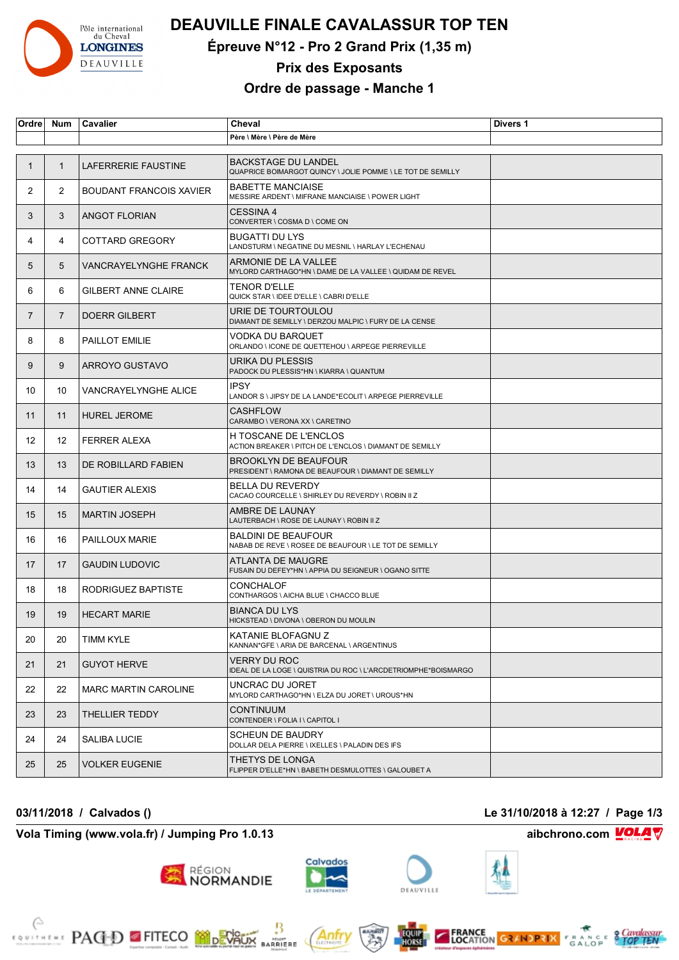

**DEAUVILLE FINALE CAVALASSUR TOP TEN**

**Épreuve N°12 - Pro 2 Grand Prix (1,35 m)**

**Prix des Exposants**

**Ordre de passage - Manche 1**

| <b>Ordre</b>   | Num            | Cavalier                       | Cheval                                                                                    | Divers 1 |
|----------------|----------------|--------------------------------|-------------------------------------------------------------------------------------------|----------|
|                |                |                                | Père \ Mère \ Père de Mère                                                                |          |
| 1              | $\mathbf{1}$   | LAFERRERIE FAUSTINE            | <b>BACKSTAGE DU LANDEL</b><br>QUAPRICE BOIMARGOT QUINCY \ JOLIE POMME \ LE TOT DE SEMILLY |          |
| 2              | 2              | <b>BOUDANT FRANCOIS XAVIER</b> | <b>BABETTE MANCIAISE</b><br>MESSIRE ARDENT \ MIFRANE MANCIAISE \ POWER LIGHT              |          |
| 3              | 3              | ANGOT FLORIAN                  | CESSINA 4<br>CONVERTER \ COSMA D \ COME ON                                                |          |
| 4              | 4              | COTTARD GREGORY                | <b>BUGATTI DU LYS</b>                                                                     |          |
| 5              | 5              | <b>VANCRAYELYNGHE FRANCK</b>   | ARMONIE DE LA VALLEE<br>MYLORD CARTHAGO*HN \ DAME DE LA VALLEE \ QUIDAM DE REVEL          |          |
| 6              | 6              | <b>GILBERT ANNE CLAIRE</b>     | <b>TENOR D'ELLE</b><br>QUICK STAR \ IDEE D'ELLE \ CABRI D'ELLE                            |          |
| $\overline{7}$ | $\overline{7}$ | <b>DOERR GILBERT</b>           | URIE DE TOURTOULOU<br>DIAMANT DE SEMILLY \ DERZOU MALPIC \ FURY DE LA CENSE               |          |
| 8              | 8              | <b>PAILLOT EMILIE</b>          | VODKA DU BARQUET<br>ORLANDO \ ICONE DE QUETTEHOU \ ARPEGE PIERREVILLE                     |          |
| 9              | 9              | ARROYO GUSTAVO                 | URIKA DU PLESSIS<br>PADOCK DU PLESSIS*HN \ KIARRA \ QUANTUM                               |          |
| 10             | 10             | <b>VANCRAYELYNGHE ALICE</b>    | <b>IPSY</b><br>LANDOR S \ JIPSY DE LA LANDE*ECOLIT \ ARPEGE PIERREVILLE                   |          |
| 11             | 11             | <b>HUREL JEROME</b>            | CASHFLOW<br>CARAMBO \ VERONA XX \ CARETINO                                                |          |
| 12             | 12             | <b>FERRER ALEXA</b>            | H TOSCANE DE L'ENCLOS<br>ACTION BREAKER \ PITCH DE L'ENCLOS \ DIAMANT DE SEMILLY          |          |
| 13             | 13             | DE ROBILLARD FABIEN            | <b>BROOKLYN DE BEAUFOUR</b><br>PRESIDENT \ RAMONA DE BEAUFOUR \ DIAMANT DE SEMILLY        |          |
| 14             | 14             | <b>GAUTIER ALEXIS</b>          | <b>BELLA DU REVERDY</b><br>CACAO COURCELLE \ SHIRLEY DU REVERDY \ ROBIN II Z              |          |
| 15             | 15             | <b>MARTIN JOSEPH</b>           | AMBRE DE LAUNAY<br>LAUTERBACH \ ROSE DE LAUNAY \ ROBIN II Z                               |          |
| 16             | 16             | PAILLOUX MARIE                 | <b>BALDINI DE BEAUFOUR</b><br>NABAB DE REVE \ ROSEE DE BEAUFOUR \ LE TOT DE SEMILLY       |          |
| 17             | 17             | <b>GAUDIN LUDOVIC</b>          | ATLANTA DE MAUGRE<br>FUSAIN DU DEFEY*HN \ APPIA DU SEIGNEUR \ OGANO SITTE                 |          |
| 18             | 18             | RODRIGUEZ BAPTISTE             | CONCHALOF<br>CONTHARGOS \ AICHA BLUE \ CHACCO BLUE                                        |          |
| 19             | 19             | <b>HECART MARIE</b>            | <b>BIANCA DU LYS</b><br>HICKSTEAD \ DIVONA \ OBERON DU MOULIN                             |          |
| 20             | 20             | <b>TIMM KYLE</b>               | KATANIE BLOFAGNU Z<br>KANNAN*GFE \ ARIA DE BARCENAL \ ARGENTINUS                          |          |
| 21             | 21             | <b>GUYOT HERVE</b>             | VERRY DU ROC<br>IDEAL DE LA LOGE \ QUISTRIA DU ROC \ L'ARCDETRIOMPHE*BOISMARGO            |          |
| 22             | 22             | <b>MARC MARTIN CAROLINE</b>    | UNCRAC DU JORET<br>MYLORD CARTHAGO*HN \ ELZA DU JORET \ UROUS*HN                          |          |
| 23             | 23             | THELLIER TEDDY                 | CONTINUUM<br>CONTENDER \ FOLIA I \ CAPITOL I                                              |          |
| 24             | 24             | SALIBA LUCIE                   | <b>SCHEUN DE BAUDRY</b><br>DOLLAR DELA PIERRE \ IXELLES \ PALADIN DES IFS                 |          |
| 25             | 25             | <b>VOLKER EUGENIE</b>          | THETYS DE LONGA<br>FLIPPER D'ELLE*HN \ BABETH DESMULOTTES \ GALOUBET A                    |          |

**Vola Timing (www.vola.fr) / Jumping Pro 1.0.13 aibchrono.com VOLA** 





**03/11/2018 / Calvados () Le 31/10/2018 à 12:27 / Page 1/3**







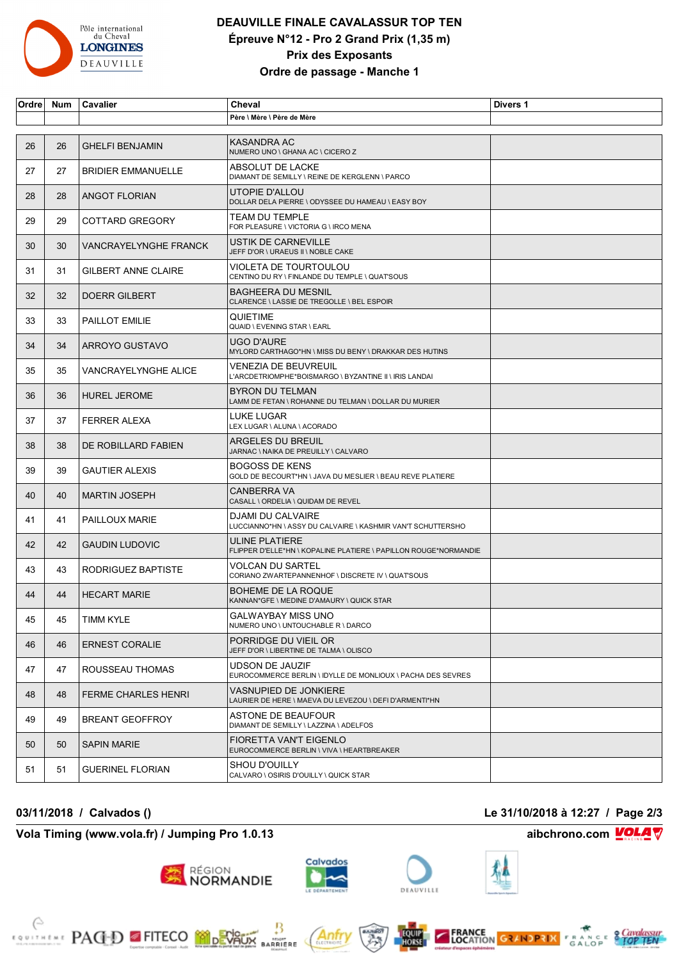

## **DEAUVILLE FINALE CAVALASSUR TOP TEN Épreuve N°12 - Pro 2 Grand Prix (1,35 m) Prix des Exposants Ordre de passage - Manche 1**

| Ordre | <b>Num</b> | <b>Cavalier</b>              | Cheval                                                                                    | Divers 1 |
|-------|------------|------------------------------|-------------------------------------------------------------------------------------------|----------|
|       |            |                              | Père \ Mère \ Père de Mère                                                                |          |
| 26    | 26         | <b>GHELFI BENJAMIN</b>       | KASANDRA AC<br>NUMERO UNO \ GHANA AC \ CICERO Z                                           |          |
| 27    | 27         | <b>BRIDIER EMMANUELLE</b>    | ABSOLUT DE LACKE<br>DIAMANT DE SEMILLY \ REINE DE KERGLENN \ PARCO                        |          |
| 28    | 28         | <b>ANGOT FLORIAN</b>         | UTOPIE D'ALLOU<br>DOLLAR DELA PIERRE \ ODYSSEE DU HAMEAU \ EASY BOY                       |          |
| 29    | 29         | <b>COTTARD GREGORY</b>       | TEAM DU TEMPLE<br>FOR PLEASURE \ VICTORIA G \ IRCO MENA                                   |          |
| 30    | 30         | <b>VANCRAYELYNGHE FRANCK</b> | <b>USTIK DE CARNEVILLE</b><br>JEFF D'OR \ URAEUS II \ NOBLE CAKE                          |          |
| 31    | 31         | <b>GILBERT ANNE CLAIRE</b>   | VIOLETA DE TOURTOULOU<br>CENTINO DU RY \ FINLANDE DU TEMPLE \ QUAT'SOUS                   |          |
| 32    | 32         | <b>DOERR GILBERT</b>         | <b>BAGHEERA DU MESNIL</b><br>CLARENCE \ LASSIE DE TREGOLLE \ BEL ESPOIR                   |          |
| 33    | 33         | PAILLOT EMILIE               | <b>QUIETIME</b><br>QUAID \ EVENING STAR \ EARL                                            |          |
| 34    | 34         | ARROYO GUSTAVO               | <b>UGO D'AURE</b><br>MYLORD CARTHAGO*HN \ MISS DU BENY \ DRAKKAR DES HUTINS               |          |
| 35    | 35         | <b>VANCRAYELYNGHE ALICE</b>  | VENEZIA DE BEUVREUIL<br>L'ARCDETRIOMPHE*BOISMARGO \ BYZANTINE II \ IRIS LANDAI            |          |
| 36    | 36         | <b>HUREL JEROME</b>          | <b>BYRON DU TELMAN</b><br>LAMM DE FETAN \ ROHANNE DU TELMAN \ DOLLAR DU MURIER            |          |
| 37    | 37         | <b>FERRER ALEXA</b>          | LUKE LUGAR<br>LEX LUGAR \ ALUNA \ ACORADO                                                 |          |
| 38    | 38         | DE ROBILLARD FABIEN          | ARGELES DU BREUIL<br>JARNAC \ NAIKA DE PREUILLY \ CALVARO                                 |          |
| 39    | 39         | <b>GAUTIER ALEXIS</b>        | <b>BOGOSS DE KENS</b><br>GOLD DE BECOURT*HN \ JAVA DU MESLIER \ BEAU REVE PLATIERE        |          |
| 40    | 40         | <b>MARTIN JOSEPH</b>         | <b>CANBERRA VA</b><br>CASALL \ ORDELIA \ QUIDAM DE REVEL                                  |          |
| 41    | 41         | PAILLOUX MARIE               | <b>DJAMI DU CALVAIRE</b><br>LUCCIANNO*HN \ ASSY DU CALVAIRE \ KASHMIR VAN'T SCHUTTERSHO   |          |
| 42    | 42         | <b>GAUDIN LUDOVIC</b>        | <b>ULINE PLATIERE</b><br>FLIPPER D'ELLE*HN \ KOPALINE PLATIERE \ PAPILLON ROUGE*NORMANDIE |          |
| 43    | 43         | RODRIGUEZ BAPTISTE           | <b>VOLCAN DU SARTEL</b><br>CORIANO ZWARTEPANNENHOF \ DISCRETE IV \ QUATSOUS               |          |
| 44    | 44         | <b>HECART MARIE</b>          | <b>BOHEME DE LA ROQUE</b><br>KANNAN*GFE \ MEDINE D'AMAURY \ QUICK STAR                    |          |
| 45    | 45         | <b>TIMM KYLE</b>             | <b>GALWAYBAY MISS UNO</b><br>NUMERO UNO \ UNTOUCHABLE R \ DARCO                           |          |
| 46    | 46         | <b>ERNEST CORALIE</b>        | PORRIDGE DU VIEIL OR<br>JEFF D'OR \ LIBERTINE DE TALMA \ OLISCO                           |          |
| 47    | 47         | ROUSSEAU THOMAS              | <b>UDSON DE JAUZIF</b><br>EUROCOMMERCE BERLIN \ IDYLLE DE MONLIOUX \ PACHA DES SEVRES     |          |
| 48    | 48         | FERME CHARLES HENRI          | VASNUPIED DE JONKIERE<br>LAURIER DE HERE \ MAEVA DU LEVEZOU \ DEFI D'ARMENTI*HN           |          |
| 49    | 49         | <b>BREANT GEOFFROY</b>       | ASTONE DE BEAUFOUR<br>DIAMANT DE SEMILLY \ LAZZINA \ ADELFOS                              |          |
| 50    | 50         | <b>SAPIN MARIE</b>           | FIORETTA VAN'T EIGENLO<br>EUROCOMMERCE BERLIN \ VIVA \ HEARTBREAKER                       |          |
| 51    | 51         | <b>GUERINEL FLORIAN</b>      | <b>SHOU D'OUILLY</b><br>CALVARO \ OSIRIS D'OUILLY \ QUICK STAR                            |          |

**03/11/2018 / Calvados () Le 31/10/2018 à 12:27 / Page 2/3**

**Vola Timing (www.vola.fr) / Jumping Pro 1.0.13 aibchrono.com VOLA** 

**EXAMPLE PACED FITECO MODERATION** 



Anfr

₿

**MARRIERE** 

**RÉGION**<br>NORMANDIE